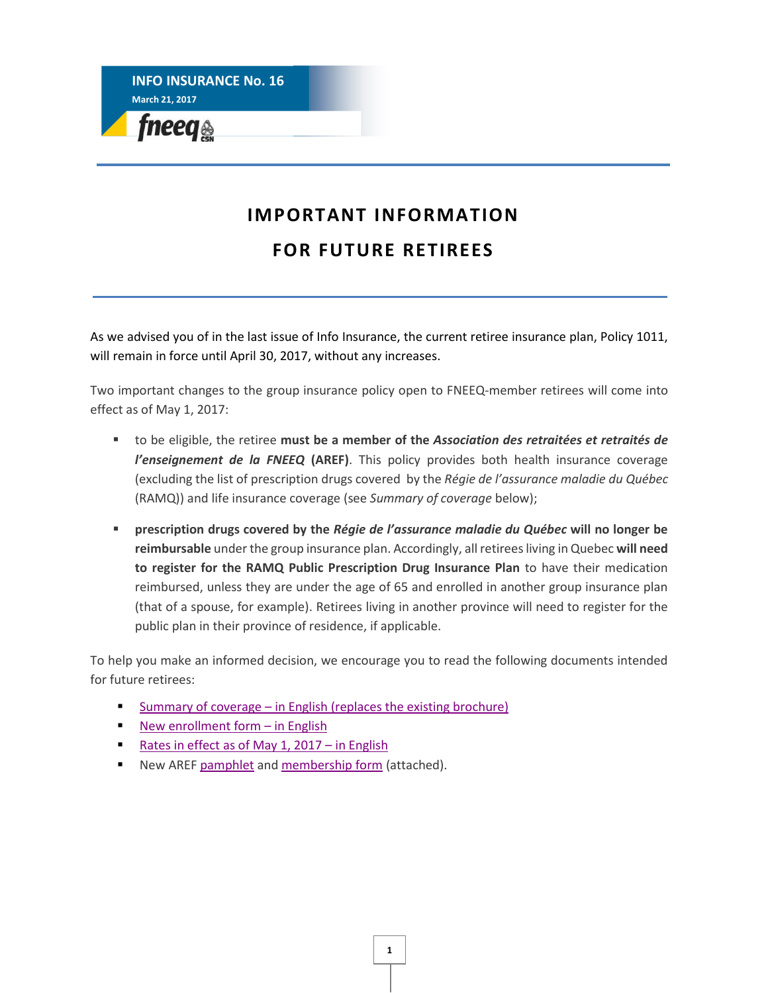**INFO INSURANCE No. 16 March 21, 2017**  fneeq<sub>®</sub>

### **IMPORTANT INFORMATION FOR FUTURE RETIREES**

As we advised you of in the last issue of Info Insurance, the current retiree insurance plan, Policy 1011, will remain in force until April 30, 2017, without any increases.

Two important changes to the group insurance policy open to FNEEQ-member retirees will come into effect as of May 1, 2017:

- to be eligible, the retiree **must be a member of the** *Association des retraitées et retraités de l'enseignement de la FNEEQ* **(AREF)**. This policy provides both health insurance coverage (excluding the list of prescription drugs covered by the *Régie de l'assurance maladie du Québec* (RAMQ)) and life insurance coverage (see *Summary of coverage* below);
- **prescription drugs covered by the** *Régie de l'assurance maladie du Québec* **will no longer be reimbursable** under the group insurance plan. Accordingly, allretirees living in Quebec **will need to register for the RAMQ Public Prescription Drug Insurance Plan** to have their medication reimbursed, unless they are under the age of 65 and enrolled in another group insurance plan (that of a spouse, for example). Retirees living in another province will need to register for the public plan in their province of residence, if applicable.

To help you make an informed decision, we encourage you to read the following documents intended for future retirees:

- [Summary of coverage](https://www.lacapitale.com/files/live/sites/lacapitale/files/contributed/collectif/en/pdf/Schedule_of_coverage_001011_201705.pdf) in English (replaces the existing brochure)
- [New enrollment form](https://www.lacapitale.com/files/live/sites/lacapitale/files/contributed/collectif/en/pdf/C1011_0a_application_modification_to_group_insurance_201705.pdf)  $-$  in English
- [Rates in effect as of May 1, 2017](https://www.lacapitale.com/files/live/sites/lacapitale/files/contributed/collectif/en/pdf/Leaflet_001011_rates_201705.pdf)  in English
- New ARE[F pamphlet](http://fneeq.qc.ca/wp-content/uploads/no-16_Depliant-AN_AREF.pdf) an[d membership form](http://fneeq.qc.ca/wp-content/uploads/no-16_FormInscription-AN_AREF.pdf) (attached).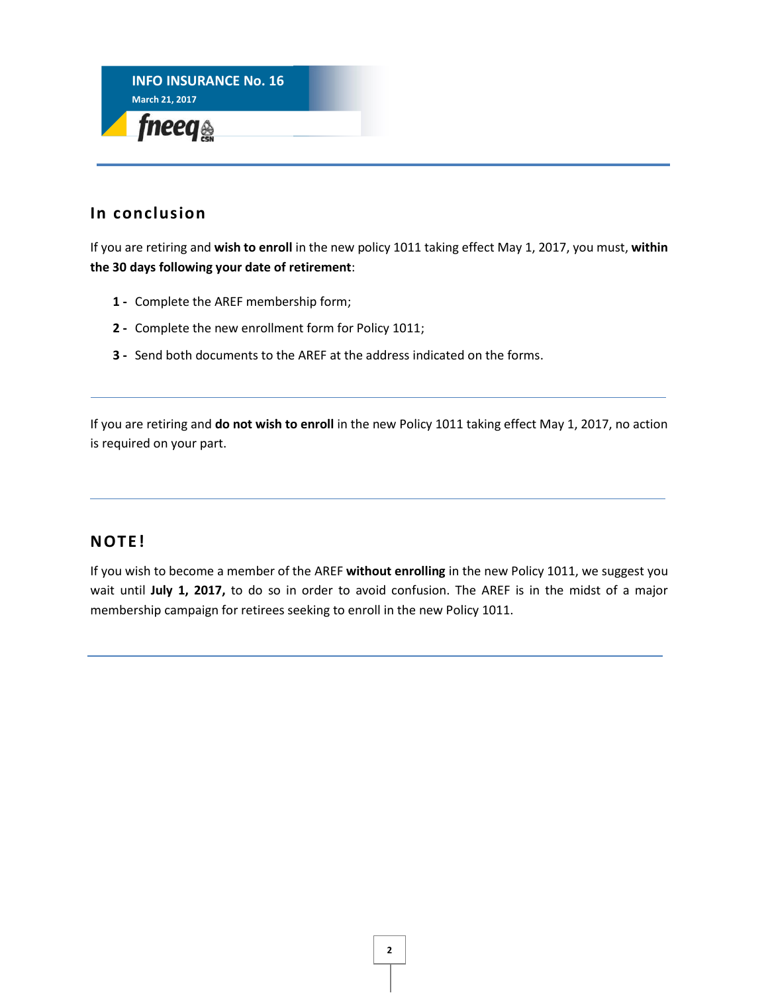

#### **In conclusion**

If you are retiring and **wish to enroll** in the new policy 1011 taking effect May 1, 2017, you must, **within the 30 days following your date of retirement**:

- **1 -** Complete the AREF membership form;
- **2 -** Complete the new enrollment form for Policy 1011;
- **3 -** Send both documents to the AREF at the address indicated on the forms.

If you are retiring and **do not wish to enroll** in the new Policy 1011 taking effect May 1, 2017, no action is required on your part.

#### **NOTE!**

If you wish to become a member of the AREF **without enrolling** in the new Policy 1011, we suggest you wait until **July 1, 2017,** to do so in order to avoid confusion. The AREF is in the midst of a major membership campaign for retirees seeking to enroll in the new Policy 1011.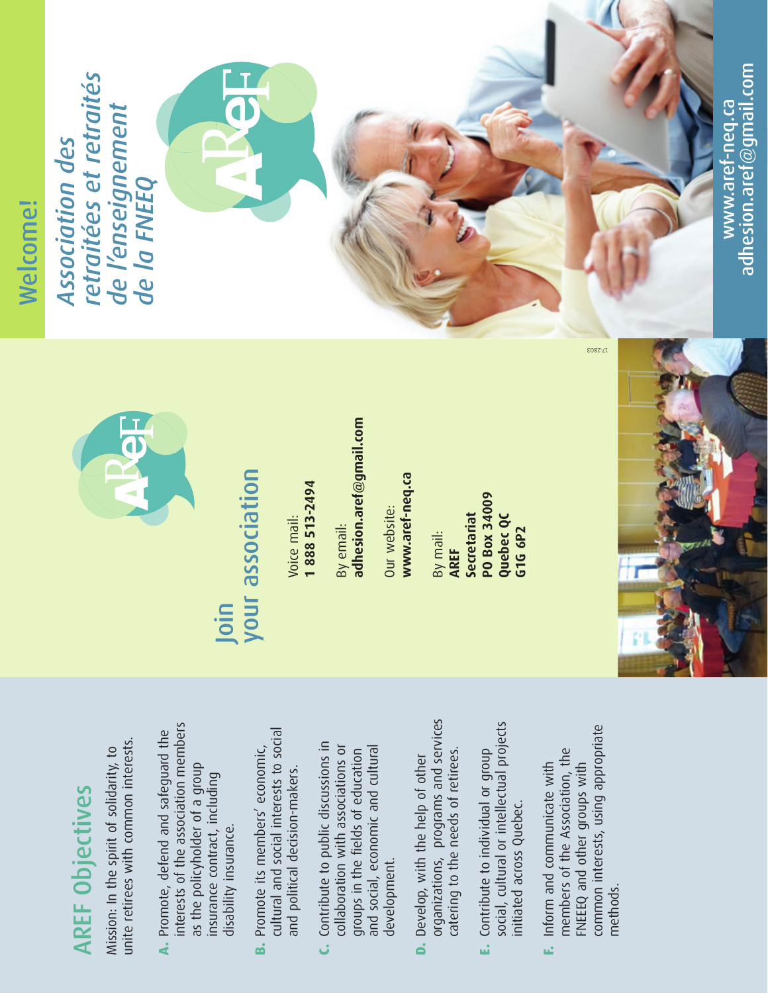## **AREF Objectives** AREF Objectives

unite retirees with common interests. unite retirees with common interests. Mission: In the spirit of solidarity, to Mission: In the spirit of solidarity, to

- interests of the association members interests of the association members **A.** Promote, defend and safeguard the A. Promote, defend and safeguard the as the policyholder of a group as the policyholder of a group insurance contract, including insurance contract, including disability insurance. disability insurance.
- cultural and social interests to social cultural and social interests to social **B.** Promote its members' economic, **B.** Promote its members' economic, and political decision-makers. and political decision-makers.
- **C.** Contribute to public discussions in C. Contribute to public discussions in collaboration with associations or and social, economic and cultural collaboration with associations or groups in the fields of education and social, economic and cultural groups in the fields of education development. development.
- organizations, programs and services<br>catering to the needs of retirees. organizations, programs and services catering to the needs of retirees. D. Develop, with the help of other **D.** Develop, with the help of other
- social, cultural or intellectual projects social, cultural or intellectual projects **E.** Contribute to individual or group **E.** Contribute to individual or group initiated across Quebec. initiated across Quebec.
- common interests, using appropriate common interests, using appropriate members of the Association, the members of the Association, the **F.** Inform and communicate with FNEEEQ and other groups with FNEEEQ and other groups with **F.** Inform and communicate with methods.



# Join<br>your association your association

Voice mail:<br>1 888 513-2494 **1 888 513-2494**

adhesion.aref@gmail.com **adhesion.aref@gmail.com** By email:

www.aref-neq.ca **www.aref-neq.ca** Our website: Our website:

**PO Box 34009**  PO Box 34009 **Secretariat Quebec QC G1G 6P2** By mail: **AREF**



# Welcome!

*retraitées et retraités*  retraitées et retraités *de l'enseignement*  de l'enseignement *Association des*  **Association des** de la FNEEQ *de la FNEEQ*



adhesion.aref@gmail.com adhesion.aref $\textcircled{g}$ mail.com www.aref-neq.ca www.aref-neq.ca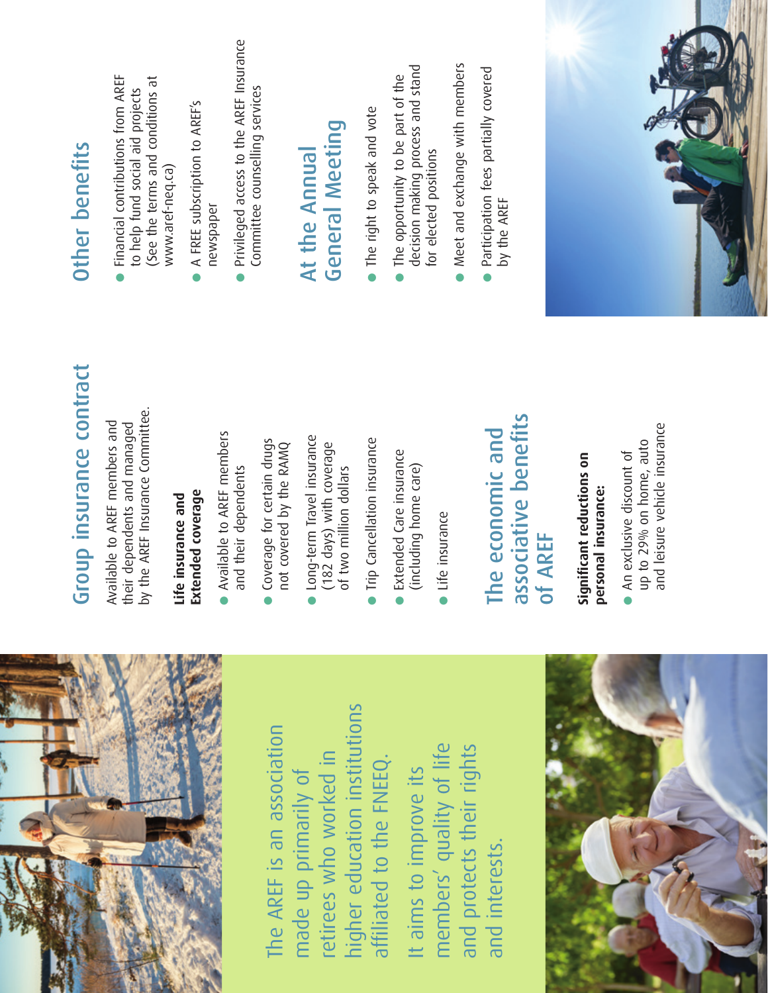

higher education institutions higher education institutions<br>affiliated to the FNEEQ. The AREF is an association The AREF is an association retirees who worked in affiliated to the FNEEQ. retirees who worked in made up primarily of made up primarily of

members' quality of life and protects their rights It aims to improve its<br>members' quality of life and protects their rights It aims to improve its and interests. and interests.



# Group insurance contract Group insurance contract

by the AREF Insurance Committee. by the AREF Insurance Committee. Available to AREF members and their dependents and managed Available to AREF members and their dependents and managed

## **Life insurance and**  Life insurance and

- **Extended coverage** Available to AREF members and their dependents
- Coverage for certain drugs Coverage for certain drugs<br>not covered by the RAMQ not covered by the RAMQ
- **Long-term Travel insurance**<br>(182 days) with coverage ● Long-term Travel insurance (182 days) with coverage of two million dollars of two million dollars
- 
- Trip Cancellation insurance<br>● Extended Care insurance<br>(including home care) (including home care)
- life insurance ● Life insurance

### associative benefits associative benefits The economic and The economic and of AREF

**Signifi cant reductions on**  Significant reductions on

**personal insurance:**<br>● An exclusive discount of<br>up to 29% on home, auto<br>and leisure vehicle insurance up to 29% on home, auto and leisure vehicle insurance

- (See the terms and conditions at **Other benefits**<br>● Financial contributions from AREF<br>to help fund social aid projects (See the terms and conditions at to help fund social aid projects www.aref-neq.ca) www.aref-neq.ca)
- A FREE subscription to AREF's A FREE subscription to AREF's newspaper
- Privileged access to the AREF Insurance ● Privileged access to the AREF Insurance Committee counselling services Committee counselling services

## At the Annual At the Annual

- 
- **General Meeting**<br>● The right to speak and vote<br>● The opportunity to be part of the decision making process and stand decision making process and stand for elected positions for elected positions
- Meet and exchange with members
- Meet and exchange with members<br>• Participation fees partially covered Participation fees partially covered by the AREF by the AREF

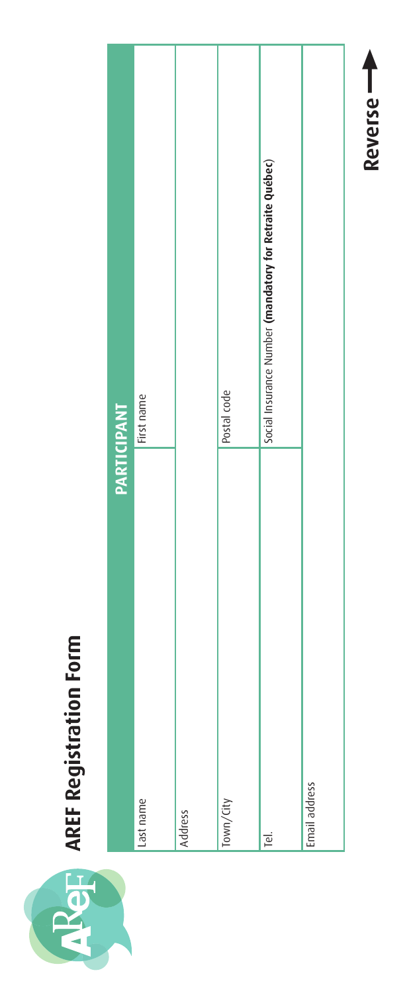

# **AREF Registration Form**

| PARTICIPANT   |                                                         |
|---------------|---------------------------------------------------------|
| Last name     | First name                                              |
| Address       |                                                         |
| Town/City     | Postal code                                             |
| Tel.          | Social Insurance Number (mandatory for Retraite Québec) |
| Email address |                                                         |